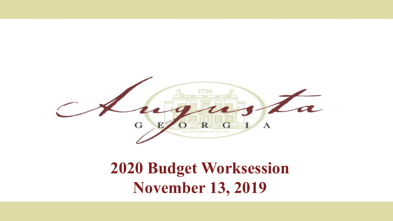

### **2020 Budget Worksession November 13, 2019**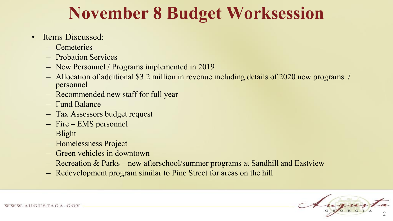# **November 8 Budget Worksession**

#### • Items Discussed:

- Cemeteries
- Probation Services
- New Personnel / Programs implemented in 2019
- Allocation of additional \$3.2 million in revenue including details of 2020 new programs / personnel
- Recommended new staff for full year
- Fund Balance
- Tax Assessors budget request
- Fire EMS personnel
- Blight
- Homelessness Project
- Green vehicles in downtown
- Recreation & Parks new afterschool/summer programs at Sandhill and Eastview
- Redevelopment program similar to Pine Street for areas on the hill

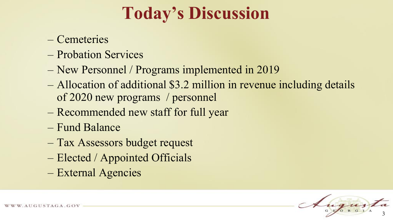# **Today's Discussion**

- Cemeteries
- Probation Services
- New Personnel / Programs implemented in 2019
- Allocation of additional \$3.2 million in revenue including details of 2020 new programs / personnel
- Recommended new staff for full year
- Fund Balance
- Tax Assessors budget request
- Elected / Appointed Officials
- External Agencies

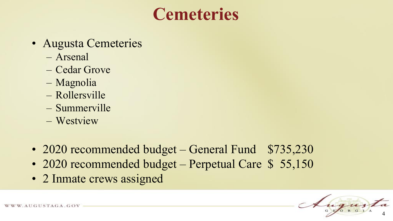# **Cemeteries**

- Augusta Cemeteries
	- Arsenal
	- Cedar Grove
	- Magnolia
	- Rollersville
	- Summerville
	- Westview
- 2020 recommended budget General Fund \$735,230
- 2020 recommended budget Perpetual Care \$ 55,150
- 2 Inmate crews assigned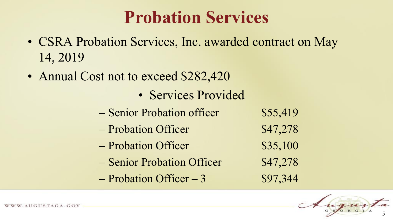# **Probation Services**

- CSRA Probation Services, Inc. awarded contract on May 14, 2019
- Annual Cost not to exceed \$282,420
	- Services Provided
	- Senior Probation officer \$55,419
	- Probation Officer \$47,278
	- Probation Officer \$35,100
	- Senior Probation Officer \$47,278
	- $-$  Probation Officer  $-3$  \$97,344

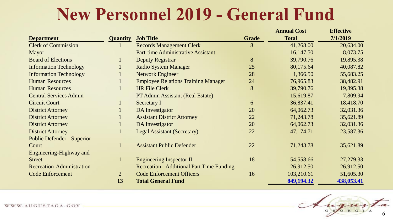## **New Personnel 2019 - General Fund**

|                                   |                 |                                                  |       | <b>Annual Cost</b> | <b>Effective</b> |
|-----------------------------------|-----------------|--------------------------------------------------|-------|--------------------|------------------|
| <b>Department</b>                 | <b>Quantity</b> | <b>Job Title</b>                                 | Grade | <b>Total</b>       | 7/1/2019         |
| <b>Clerk of Commission</b>        |                 | <b>Records Management Clerk</b>                  | 8     | 41,268.00          | 20,634.00        |
| <b>Mayor</b>                      |                 | <b>Part-time Administrative Assistant</b>        |       | 16,147.50          | 8,073.75         |
| <b>Board of Elections</b>         |                 | <b>Deputy Registrar</b>                          | 8     | 39,790.76          | 19,895.38        |
| <b>Information Technology</b>     | $\mathbf{1}$    | <b>Radio System Manager</b>                      | 25    | 80,175.64          | 40,087.82        |
| <b>Information Technology</b>     |                 | <b>Network Engineer</b>                          | 28    | 1,366.50           | 55,683.25        |
| <b>Human Resources</b>            |                 | <b>Employee Relations Training Manager</b>       | 24    | 76,965.83          | 38,482.91        |
| <b>Human Resources</b>            |                 | <b>HR File Clerk</b>                             | 8     | 39,790.76          | 19,895.38        |
| <b>Central Services Admin</b>     |                 | PT Admin Assistant (Real Estate)                 |       | 15,619.87          | 7,809.94         |
| <b>Circuit Court</b>              |                 | <b>Secretary I</b>                               | 6     | 36,837.41          | 18,418.70        |
| <b>District Attorney</b>          |                 | <b>DA Investigator</b>                           | 20    | 64,062.73          | 32,031.36        |
| <b>District Attorney</b>          |                 | <b>Assistant District Attorney</b>               | 22    | 71,243.78          | 35,621.89        |
| <b>District Attorney</b>          | $\mathbf{1}$    | DA Investigator                                  | 20    | 64,062.73          | 32,031.36        |
| <b>District Attorney</b>          |                 | <b>Legal Assistant (Secretary)</b>               | 22    | 47,174.71          | 23,587.36        |
| <b>Public Defender - Superior</b> |                 |                                                  |       |                    |                  |
| Court                             |                 | <b>Assistant Public Defender</b>                 | 22    | 71,243.78          | 35,621.89        |
| Engineering-Highway and           |                 |                                                  |       |                    |                  |
| <b>Street</b>                     |                 | <b>Engineering Inspector II</b>                  | 18    | 54,558.66          | 27,279.33        |
| <b>Recreation-Administration</b>  |                 | <b>Recreation - Additional Part Time Funding</b> |       | 26,912.50          | 26,912.50        |
| <b>Code Enforcement</b>           | $\overline{2}$  | <b>Code Enforcement Officers</b>                 | 16    | 103,210.61         | 51,605.30        |
|                                   | 13              | <b>Total General Fund</b>                        |       | 849,194.32         | 438,053.41       |

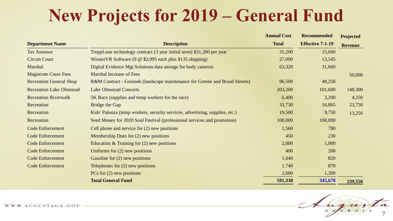# **New Projects for 2019 – General Fund**

|                                 |                                                                              | <b>Annual Cost</b> | <b>Recommended</b>      | Projected      |
|---------------------------------|------------------------------------------------------------------------------|--------------------|-------------------------|----------------|
| <b>Department Name</b>          | <b>Description</b>                                                           | <b>Total</b>       | <b>Effective 7-1-19</b> | <b>Revenue</b> |
| <b>Tax Assessor</b>             | TreppLoan technology contract (3 year initial term) \$31,200 per year        | 31,200             | 15,600                  |                |
| <b>Circuit Court</b>            | Winner VR Software $(9 \& $2,995 \text{ each plus $135 shipping})$           | 27,090             | 13,545                  |                |
| Marshal                         | Digital Evidence Mgt Solutions data storage for body cameras                 | 63,320             | 31,660                  |                |
| <b>Magistrate Court Fees</b>    | <b>Marshal Increase of Fees</b>                                              |                    |                         | 50,000         |
| <b>Recreation General Shop</b>  | R&M Contract - Grounds (landscape maintenance for Greene and Broad Streets)  | 96,500             | 48,250                  |                |
| <b>Recreation Lake Olmstead</b> | <b>Lake Olmstead Concerts</b>                                                | 203,200            | 101,600                 | 148,300        |
| <b>Recreation Riverwalk</b>     | 5K Race (supplies and temp workers for the race)                             | 6,400              | 3,200                   | 4,250          |
| Recreation                      | Bridge the Gap                                                               | 33,730             | 16,865                  | 23,750         |
| Recreation                      | Kids' Palooza (temp workers, security services, advertising, supplies, etc.) | 19,500             | 9,750                   | 13,250         |
| Recreation                      | Seed Money for 2020 Soul Festival (professional services and promotion)      | 100,000            | 100,000                 |                |
| <b>Code Enforcement</b>         | Cell phone and service for $(2)$ new positions                               | 1,560              | 780                     |                |
| <b>Code Enforcement</b>         | Membership Dues for $(2)$ new positions                                      | 450                | 230                     |                |
| <b>Code Enforcement</b>         | Education $&$ Training for $(2)$ new positions                               | 2,000              | 1,000                   |                |
| <b>Code Enforcement</b>         | Uniforms for $(2)$ new positions                                             | 400                | 200                     |                |
| <b>Code Enforcement</b>         | Gasoline for (2) new positions                                               | 1,640              | 820                     |                |
| <b>Code Enforcement</b>         | Telephones for $(2)$ new positions                                           | 1,740              | 870                     |                |
|                                 | PCs for $(2)$ new positions                                                  | 2,600              | 1,300                   |                |
|                                 | <b>Total General Fund</b>                                                    | 591,330            | 345,670                 | 239,550        |

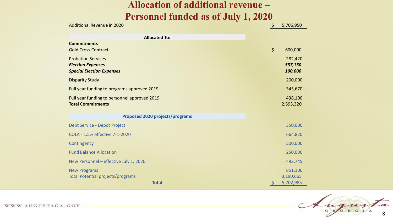#### **Allocation of additional revenue – Personnel funded as of July 1, 2020**

| <b>Allocated To:</b><br><b>Commitments</b><br>$\zeta$<br><b>Gold Cross Contract</b><br>600,000<br><b>Probation Services</b><br><b>Election Expenses</b><br>537,130<br>190,000<br><b>Special Election Expenses</b><br><b>Disparity Study</b> | <b>Additional Revenue in 2020</b>           | $\zeta$ | 5,706,950 |
|---------------------------------------------------------------------------------------------------------------------------------------------------------------------------------------------------------------------------------------------|---------------------------------------------|---------|-----------|
|                                                                                                                                                                                                                                             |                                             |         |           |
|                                                                                                                                                                                                                                             |                                             |         |           |
|                                                                                                                                                                                                                                             |                                             |         | 282,420   |
|                                                                                                                                                                                                                                             |                                             |         | 200,000   |
|                                                                                                                                                                                                                                             | Full year funding to programs approved 2019 |         | 345,670   |
| Full year funding to personnel approved 2019<br><b>Total Commitments</b><br>2,593,320                                                                                                                                                       |                                             |         | 438,100   |
| <b>Proposed 2020 projects/programs</b>                                                                                                                                                                                                      |                                             |         |           |
| Debt Service - Depot Project                                                                                                                                                                                                                |                                             |         | 350,000   |
| COLA - 1.5% effective 7-1-2020<br>664,820                                                                                                                                                                                                   |                                             |         |           |
| Contingency                                                                                                                                                                                                                                 |                                             |         | 500,000   |
| <b>Fund Balance Allocation</b>                                                                                                                                                                                                              |                                             |         | 250,000   |
| New Personnel - effective July 1, 2020<br>493,745                                                                                                                                                                                           |                                             |         |           |
| <b>New Programs</b>                                                                                                                                                                                                                         |                                             |         | 851,100   |
| Total Potential projects/programs<br>3,190,665<br><b>Total</b><br>5,702,985                                                                                                                                                                 |                                             |         |           |

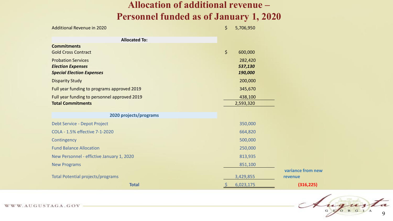#### **Allocation of additional revenue – Personnel funded as of January 1, 2020**

| <b>Additional Revenue in 2020</b>            | \$      | 5,706,950 |                   |
|----------------------------------------------|---------|-----------|-------------------|
| <b>Allocated To:</b>                         |         |           |                   |
| <b>Commitments</b>                           |         |           |                   |
| <b>Gold Cross Contract</b>                   | $\zeta$ | 600,000   |                   |
| <b>Probation Services</b>                    |         | 282,420   |                   |
| <b>Election Expenses</b>                     |         | 537,130   |                   |
| <b>Special Election Expenses</b>             |         | 190,000   |                   |
| <b>Disparity Study</b>                       |         | 200,000   |                   |
| Full year funding to programs approved 2019  |         | 345,670   |                   |
| Full year funding to personnel approved 2019 |         | 438,100   |                   |
| <b>Total Commitments</b>                     |         | 2,593,320 |                   |
|                                              |         |           |                   |
| 2020 projects/programs                       |         |           |                   |
| Debt Service - Depot Project                 |         | 350,000   |                   |
| COLA - 1.5% effective 7-1-2020               |         | 664,820   |                   |
| Contingency                                  |         | 500,000   |                   |
| <b>Fund Balance Allocation</b>               |         | 250,000   |                   |
| New Personnel - effictive January 1, 2020    |         | 813,935   |                   |
| <b>New Programs</b>                          |         | 851,100   |                   |
|                                              |         |           | variance from new |
| Total Potential projects/programs            |         | 3,429,855 | revenue           |
| <b>Total</b>                                 |         | 6,023,175 | (316, 225)        |

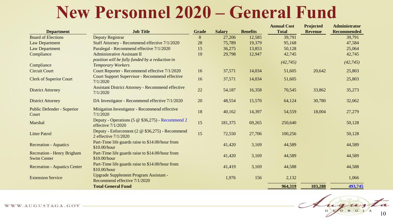## **New Personnel 2020 – General Fund**

|                                                         |                                                                               |              |               |                 | <b>Annual Cost</b> | <b>Projected</b> | <b>Administrator</b> |
|---------------------------------------------------------|-------------------------------------------------------------------------------|--------------|---------------|-----------------|--------------------|------------------|----------------------|
| <b>Department</b>                                       | <b>Job Title</b>                                                              | <b>Grade</b> | <b>Salary</b> | <b>Benefits</b> | <b>Total</b>       | <b>Revenue</b>   | <b>Recommended</b>   |
| <b>Board of Elections</b>                               | Deputy Registrar                                                              | 8            | 27,206        | 12,585          | 39,791             |                  | 39,791               |
| <b>Law Department</b>                                   | Staff Attorney - Recommend effective 7/1/2020                                 | 28           | 75,789        | 19,379          | 95,168             |                  | 47,584               |
| Law Department                                          | Paralegal - Recommend effective 7/1/2020                                      | 15           | 36,275        | 13,853          | 50,128             |                  | 25,064               |
| Compliance                                              | <b>Administrative Assistant II</b>                                            | 10           | 29,798        | 12,947          | 42,745             |                  | 42,745               |
|                                                         | position will be fully funded by a reduction in                               |              |               |                 |                    |                  |                      |
| Compliance                                              | <b>Temporary Workers</b>                                                      |              |               |                 | (42, 745)          |                  | (42, 745)            |
| <b>Circuit Court</b>                                    | Court Reporter - Recommend effective 7/1/2020                                 | 16           | 37,571        | 14,034          | 51,605             | 20,642           | 25,803               |
| <b>Clerk of Superior Court</b>                          | <b>Court Support Supervisor - Recommend effective</b><br>7/1/2020             | 16           | 37,571        | 14,034          | 51,605             |                  | 25,803               |
| <b>District Attorney</b>                                | <b>Assistant District Attorney - Recommend effective</b><br>7/1/2020          | 22           | 54,187        | 16,358          | 70,545             | 33,862           | 35,273               |
| <b>District Attorney</b>                                | DA Investigator - Recommend effective 7/1/2020                                | 20           | 48,554        | 15,570          | 64,124             | 30,780           | 32,062               |
| <b>Public Defender - Superior</b><br>Court              | Mitigation Investigator - Recommend effective<br>7/1/2020                     | 18           | 40,162        | 14,397          | 54,559             | 18,004           | 27,279               |
| Marshal                                                 | Deputy - Operations (5 @ \$36,275) - Recommend 2<br>effective $7/1/2020$      | 15           | 181,375       | 69,265          | 250,640            |                  | 50,128               |
| <b>Litter Patrol</b>                                    | Deputy - Enforcement (2 @ \$36,275) - Recommend<br>2 effective 7/1/2020       | 15           | 72,550        | 27,706          | 100,256            |                  | 50,128               |
| <b>Recreation - Aquatics</b>                            | Part-Time life guards raise to \$14.00/hour from<br>\$10.00/hour              |              | 41,420        | 3,169           | 44,589             |                  | 44,589               |
| <b>Recreation - Henry Brigham</b><br><b>Swim Center</b> | Part-Time life guards raise to \$14.00/hour from<br>\$10.00/hour              |              | 41,420        | 3,169           | 44,589             |                  | 44,589               |
| <b>Recreation - Aquatics Center</b>                     | Part-Time life guards raise to \$14.00/hour from<br>\$10.00/hour              |              | 41,419        | 3,169           | 44,588             |                  | 44,588               |
| <b>Extension Service</b>                                | <b>Upgrade Supplement Program Assistant -</b><br>Recommend effective 7/1/2020 |              | 1,976         | 156             | 2,132              |                  | 1,066                |
|                                                         | <b>Total General Fund</b>                                                     |              |               |                 | 964,319            | 103,288          | 493,745              |

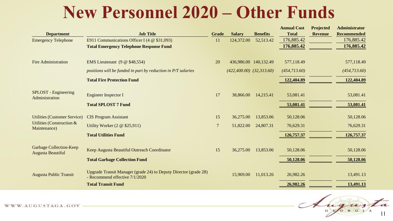## **New Personnel 2020 – Other Funds**

|                                                            |                                                                                                    |                |                                |                 | <b>Annual Cost</b> | Projected      | <b>Administrator</b> |
|------------------------------------------------------------|----------------------------------------------------------------------------------------------------|----------------|--------------------------------|-----------------|--------------------|----------------|----------------------|
| <b>Department</b>                                          | <b>Job Title</b>                                                                                   | <b>Grade</b>   | <b>Salary</b>                  | <b>Benefits</b> | <b>Total</b>       | <b>Revenue</b> | <b>Recommended</b>   |
| <b>Emergency Telephone</b>                                 | E911 Communications Officer I (4 $\omega$ \$31,093)                                                | 11             | 124,372.00                     | 52,513.42       | 176,885.42         |                | 176,885.42           |
|                                                            | <b>Total Emergency Telephone Response Fund</b>                                                     |                |                                |                 | 176,885.42         |                | 176,885.42           |
|                                                            |                                                                                                    |                |                                |                 |                    |                |                      |
| <b>Fire Administration</b>                                 | EMS Lieutenant $(9 \t@ $48,554)$                                                                   | 20             | 436,986.00 140,132.49          |                 | 577,118.49         |                | 577,118.49           |
|                                                            | positions will be funded in part by reduction in P/T salaries                                      |                | $(422, 400.00)$ $(32, 313.60)$ |                 | (454, 713.60)      |                | (454, 713.60)        |
|                                                            | <b>Total Fire Protection Fund</b>                                                                  |                |                                |                 | 122,404.89         |                | 122,404.89           |
|                                                            |                                                                                                    |                |                                |                 |                    |                |                      |
| SPLOST - Engineering<br>Administration                     | <b>Engineer Inspector I</b>                                                                        | 17             | 38,866.00                      | 14,215.41       | 53,081.41          |                | 53,081.41            |
|                                                            | <b>Total SPLOST 7 Fund</b>                                                                         |                |                                |                 | 53,081.41          |                | 53,081.41            |
|                                                            |                                                                                                    |                |                                |                 |                    |                |                      |
| <b>Utilities (Customer Service)</b>                        | <b>CIS Program Assistant</b>                                                                       | 15             | 36,275.00                      | 13,853.06       | 50,128.06          |                | 50,128.06            |
| <b>Utilities (Construction &amp;</b><br>Maintenance)       | Utility Worker $(2 \otimes $25,911)$                                                               | $\overline{7}$ | 51,822.00                      | 24,807.31       | 76,629.31          |                | 76,629.31            |
|                                                            | <b>Total Utilities Fund</b>                                                                        |                |                                |                 | 126,757.37         |                | 126,757.37           |
|                                                            |                                                                                                    |                |                                |                 |                    |                |                      |
| <b>Garbage Collection-Keep</b><br><b>Augusta Beautiful</b> | Keep Augusta Beautiful Outreach Coordinator                                                        | 15             | 36,275.00                      | 13,853.06       | 50,128.06          |                | 50,128.06            |
|                                                            | <b>Total Garbage Collection Fund</b>                                                               |                |                                |                 | 50,128.06          |                | 50,128.06            |
|                                                            |                                                                                                    |                |                                |                 |                    |                |                      |
| <b>Augusta Public Transit</b>                              | Upgrade Transit Manager (grade 24) to Deputy Director (grade 28)<br>- Recommend effective 7/1/2020 |                | 15,969.00                      | 11,013.26       | 26,982.26          |                | 13,491.13            |
|                                                            | <b>Total Transit Fund</b>                                                                          |                |                                |                 | 26,982.26          |                | 13,491.13            |

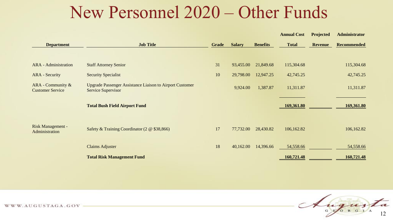#### New Personnel 2020 – Other Funds

|                                                 |                                                                                       |       |               |                 | <b>Annual Cost</b> | Projected      | <b>Administrator</b> |
|-------------------------------------------------|---------------------------------------------------------------------------------------|-------|---------------|-----------------|--------------------|----------------|----------------------|
| <b>Department</b>                               | <b>Job Title</b>                                                                      | Grade | <b>Salary</b> | <b>Benefits</b> | <b>Total</b>       | <b>Revenue</b> | <b>Recommended</b>   |
|                                                 |                                                                                       |       |               |                 |                    |                |                      |
| <b>ARA</b> - Administration                     | <b>Staff Attorney Senior</b>                                                          | 31    | 93,455.00     | 21,849.68       | 115,304.68         |                | 115,304.68           |
| <b>ARA</b> - Security                           | <b>Security Specialist</b>                                                            | 10    | 29,798.00     | 12,947.25       | 42,745.25          |                | 42,745.25            |
| ARA - Community $\&$<br><b>Customer Service</b> | <b>Upgrade Passenger Assistance Liaison to Airport Customer</b><br>Service Supervisor |       | 9,924.00      | 1,387.87        | 11,311.87          |                | 11,311.87            |
|                                                 | <b>Total Bush Field Airport Fund</b>                                                  |       |               |                 | 169,361.80         |                | 169,361.80           |
| Risk Management -<br>Administration             | Safety & Training Coordinator (2 @ \$38,866)                                          | 17    | 77,732.00     | 28,430.82       | 106,162.82         |                | 106,162.82           |
|                                                 | <b>Claims Adjuster</b>                                                                | 18    | 40,162.00     | 14,396.66       | 54,558.66          |                | 54,558.66            |
|                                                 | <b>Total Risk Management Fund</b>                                                     |       |               |                 | 160,721.48         |                | 160,721.48           |

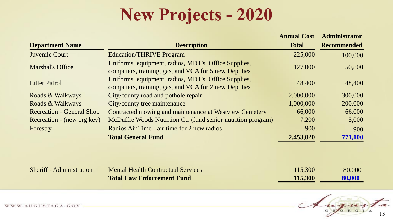# **New Projects - 2020**

|                                  |                                                                                                              | <b>Annual Cost</b> | <b>Administrator</b> |
|----------------------------------|--------------------------------------------------------------------------------------------------------------|--------------------|----------------------|
| <b>Department Name</b>           | <b>Description</b>                                                                                           | <b>Total</b>       | <b>Recommended</b>   |
| Juvenile Court                   | <b>Education/THRIVE Program</b>                                                                              | 225,000            | 100,000              |
| <b>Marshal's Office</b>          | Uniforms, equipment, radios, MDT's, Office Supplies,<br>computers, training, gas, and VCA for 5 new Deputies | 127,000            | 50,800               |
| <b>Litter Patrol</b>             | Uniforms, equipment, radios, MDT's, Office Supplies,<br>computers, training, gas, and VCA for 2 new Deputies | 48,400             | 48,400               |
| Roads & Walkways                 | City/county road and pothole repair                                                                          | 2,000,000          | 300,000              |
| Roads & Walkways                 | City/county tree maintenance                                                                                 | 1,000,000          | 200,000              |
| <b>Recreation - General Shop</b> | Contracted mowing and maintenance at Westview Cemetery                                                       | 66,000             | 66,000               |
| Recreation - (new org key)       | McDuffie Woods Nutrition Ctr (fund senior nutrition program)                                                 | 7,200              | 5,000                |
| Forestry                         | Radios Air Time - air time for 2 new radios                                                                  | 900                | 900                  |
|                                  | <b>Total General Fund</b>                                                                                    | 2,453,020          | 771,100              |
|                                  |                                                                                                              |                    |                      |
|                                  |                                                                                                              |                    |                      |

| <b>Sheriff - Administration</b> | <b>Mental Health Contractual Services</b> | 115,300 | 80,000 |
|---------------------------------|-------------------------------------------|---------|--------|
|                                 | <b>Total Law Enforcement Fund</b>         | 115.300 | 80,000 |

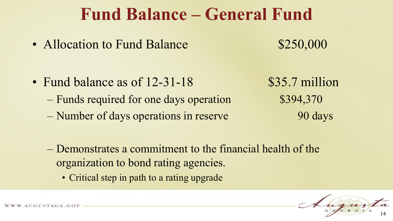#### **Fund Balance – General Fund**

• Allocation to Fund Balance \$250,000

- Fund balance as of 12-31-18 \$35.7 million
	- Funds required for one days operation \$394,370
	- Number of days operations in reserve 90 days

- Demonstrates a commitment to the financial health of the organization to bond rating agencies.
	- Critical step in path to a rating upgrade

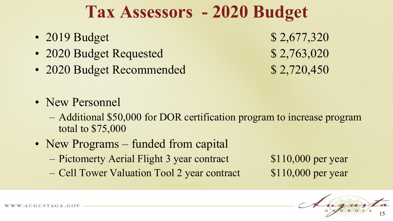### **Tax Assessors - 2020 Budget**

- 2019 Budget \$ 2,677,320
- 2020 Budget Requested \$ 2,763,020
- 2020 Budget Recommended \$ 2,720,450

- New Personnel
	- Additional \$50,000 for DOR certification program to increase program total to \$75,000
- New Programs funded from capital
	- Pictomerty Aerial Flight 3 year contract \$110,000 per year
	- Cell Tower Valuation Tool 2 year contract \$110,000 per year

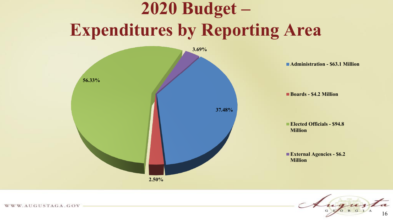# **2020 Budget – Expenditures by Reporting Area**

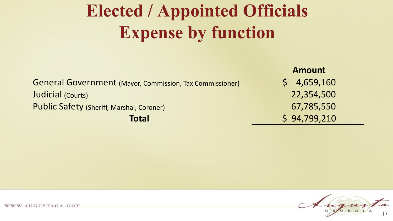# **Elected / Appointed Officials Expense by function**

| <b>Amount</b> |
|---------------|
| \$4,659,160   |
| 22,354,500    |
| 67,785,550    |
| \$94,799,210  |
|               |

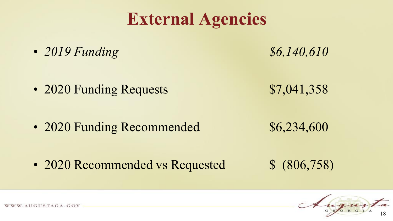# **External Agencies**

• *2019 Funding* \$6,140,610

• 2020 Funding Requests \$7,041,358

• 2020 Funding Recommended \$6,234,600

• 2020 Recommended vs Requested  $$ (806,758)$ 

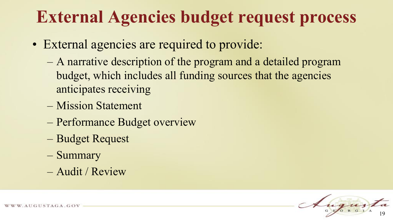## **External Agencies budget request process**

- External agencies are required to provide:
	- A narrative description of the program and a detailed program budget, which includes all funding sources that the agencies anticipates receiving
	- Mission Statement
	- Performance Budget overview
	- Budget Request
	- Summary
	- Audit / Review

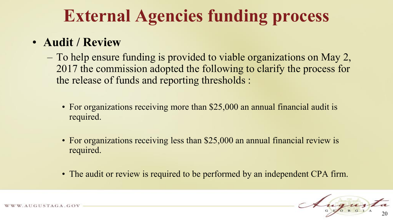# **External Agencies funding process**

#### • **Audit / Review**

- To help ensure funding is provided to viable organizations on May 2, 2017 the commission adopted the following to clarify the process for the release of funds and reporting thresholds :
	- For organizations receiving more than \$25,000 an annual financial audit is required.
	- For organizations receiving less than \$25,000 an annual financial review is required.
	- The audit or review is required to be performed by an independent CPA firm.

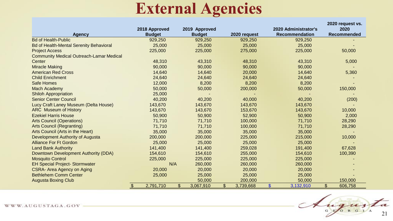#### **External Agencies**

|                                                 |               | 2018 Approved |     | 2019 Approved |           |                |              |                | 2020 Administrator's  |              | 2020 request vs.<br>2020 |
|-------------------------------------------------|---------------|---------------|-----|---------------|-----------|----------------|--------------|----------------|-----------------------|--------------|--------------------------|
| <b>Agency</b>                                   |               | <b>Budget</b> |     | <b>Budget</b> |           |                | 2020 request |                | <b>Recommendation</b> |              | Recommended              |
| <b>Bd of Health-Public</b>                      |               | 929,250       |     |               | 929,250   |                | 929,250      |                | 929,250               |              |                          |
| <b>Bd of Health-Mental Serenity Behavioral</b>  |               | 25,000        |     |               | 25,000    |                | 25,000       |                | 25,000                |              |                          |
| <b>Project Access</b>                           |               | 225,000       |     |               | 225,000   |                | 275,000      |                | 225,000               |              | 50,000                   |
| <b>Community Medical Outreach-Lamar Medical</b> |               |               |     |               |           |                |              |                |                       |              |                          |
| Center                                          |               | 48,310        |     |               | 43,310    |                | 48,310       |                | 43,310                |              | 5,000                    |
| <b>Miracle Making</b>                           |               | 90,000        |     |               | 90,000    |                | 90,000       |                | 90,000                |              |                          |
| <b>American Red Cross</b>                       |               | 14,640        |     |               | 14,640    |                | 20,000       |                | 14,640                |              | 5,360                    |
| <b>Child Enrichment</b>                         |               | 24,640        |     |               | 24,640    |                | 24,640       |                | 24,640                |              |                          |
| <b>Safe Homes</b>                               |               | 12,000        |     |               | 8,200     |                | 8,200        |                | 8,200                 |              |                          |
| <b>Mach Academy</b>                             |               | 50,000        |     |               | 50,000    |                | 200,000      |                | 50,000                |              | 150,000                  |
| <b>Shiloh Appropriation</b>                     |               | 25,000        |     |               |           |                |              |                |                       |              |                          |
| <b>Senior Center Council</b>                    |               | 40,200        |     |               | 40,200    |                | 40,000       |                | 40,200                |              | (200)                    |
| Lucy Craft Laney Museum (Delta House)           |               | 143,670       |     |               | 143,670   |                | 143,670      |                | 143,670               |              |                          |
| <b>ARC</b> Museum of History                    |               | 143,670       |     |               | 143,670   |                | 153,670      |                | 143,670               |              | 10,000                   |
| <b>Ezekiel Harris House</b>                     |               | 50,900        |     |               | 50,900    |                | 52,900       |                | 50,900                |              | 2,000                    |
| <b>Arts Council (Operations)</b>                |               | 71,710        |     |               | 71,710    |                | 100,000      |                | 71,710                |              | 28,290                   |
| <b>Arts Council (Regranting)</b>                |               | 71,710        |     |               | 71,710    |                | 100,000      |                | 71,710                |              | 28,290                   |
| Arts Council (Arts in the Heart)                |               | 35,000        |     |               | 35,000    |                | 35,000       |                | 35,000                |              |                          |
| Development Authority of Augusta                |               | 200,000       |     |               | 200,000   |                | 225,000      |                | 215,000               |              | 10,000                   |
| <b>Alliance For Ft Gordon</b>                   |               | 25,000        |     |               | 25,000    |                | 25,000       |                | 25,000                |              |                          |
| <b>Land Bank Authority</b>                      |               | 141,400       |     |               | 141,400   |                | 259,028      |                | 191,400               |              | 67,628                   |
| Downtown Development Authority (DDA)            |               | 154,610       |     |               | 154,610   |                | 255,000      |                | 154,610               |              | 100,390                  |
| <b>Mosquito Control</b>                         |               | 225,000       |     |               | 225,000   |                | 225,000      |                | 225,000               |              |                          |
| <b>EH Special Project-Stormwater</b>            |               |               | N/A |               | 260,000   |                | 260,000      |                | 260,000               |              |                          |
| <b>CSRA- Area Agency on Aging</b>               |               | 20,000        |     |               | 20,000    |                | 20,000       |                | 20,000                |              |                          |
| <b>Bethlehem Comm Center</b>                    |               | 25,000        |     |               | 25,000    |                | 25,000       |                | 25,000                |              |                          |
| <b>Augusta Boxing Club</b>                      |               |               |     |               | 50,000    |                | 200,000      |                | 50,000                |              | 150,000                  |
|                                                 | $\frac{1}{2}$ | 2,791,710     |     | \$            | 3,067,910 | $\mathfrak{S}$ | 3,739,668    | $\mathfrak{S}$ | 3,132,910             | $\mathbb{S}$ | 606,758                  |

Augusta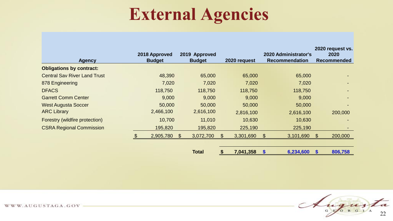# **External Agencies**

| Agency                              | 2018 Approved<br><b>Budget</b> | 2019 Approved<br><b>Budget</b> | 2020 request | <b>2020 Administrator's</b><br><b>Recommendation</b> | 2020 request vs.<br>2020<br><b>Recommended</b> |
|-------------------------------------|--------------------------------|--------------------------------|--------------|------------------------------------------------------|------------------------------------------------|
| <b>Obligations by contract:</b>     |                                |                                |              |                                                      |                                                |
| <b>Central Sav River Land Trust</b> | 48,390                         | 65,000                         | 65,000       | 65,000                                               |                                                |
| 878 Engineering                     | 7,020                          | 7,020                          | 7,020        | 7,020                                                |                                                |
| <b>DFACS</b>                        | 118,750                        | 118,750                        | 118,750      | 118,750                                              |                                                |
| <b>Garrett Comm Center</b>          | 9,000                          | 9,000                          | 9,000        | 9,000                                                | -                                              |
| <b>West Augusta Soccer</b>          | 50,000                         | 50,000                         | 50,000       | 50,000                                               |                                                |
| <b>ARC Library</b>                  | 2,466,100                      | 2,616,100                      | 2,816,100    | 2,616,100                                            | 200,000                                        |
| Forestry (wildfire protection)      | 10,700                         | 11,010                         | 10,630       | 10,630                                               |                                                |
| <b>CSRA Regional Commission</b>     | 195,820                        | 195,820                        | 225,190      | 225,190                                              | $\overline{\phantom{a}}$                       |
|                                     | 2,905,780                      | \$<br>3,072,700                | 3,301,690    | 3,101,690<br>\$.                                     | 200,000<br><b>\$</b>                           |
|                                     |                                |                                |              |                                                      |                                                |

**Total \$ 7,041,358 \$ 6,234,600 \$ 806,758** 

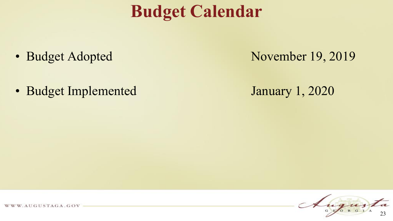# **Budget Calendar**

- 
- Budget Implemented January 1, 2020

• Budget Adopted November 19, 2019